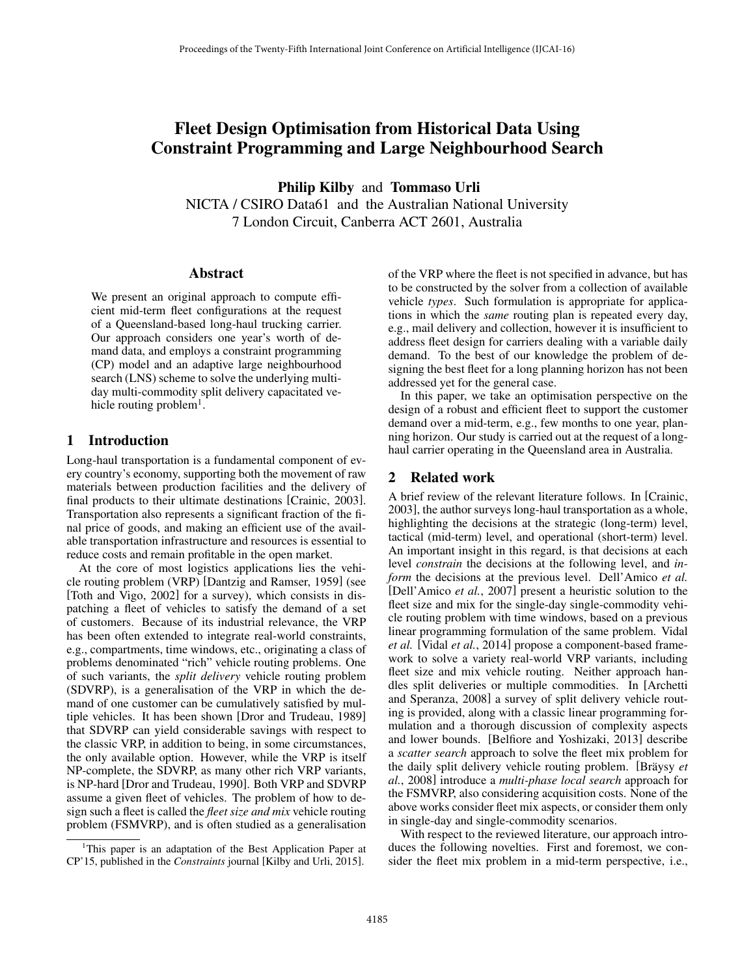# Fleet Design Optimisation from Historical Data Using Constraint Programming and Large Neighbourhood Search

Philip Kilby and Tommaso Urli

NICTA / CSIRO Data61 and the Australian National University 7 London Circuit, Canberra ACT 2601, Australia

#### Abstract

We present an original approach to compute efficient mid-term fleet configurations at the request of a Queensland-based long-haul trucking carrier. Our approach considers one year's worth of demand data, and employs a constraint programming (CP) model and an adaptive large neighbourhood search (LNS) scheme to solve the underlying multiday multi-commodity split delivery capacitated vehicle routing problem $<sup>1</sup>$ .</sup>

### 1 Introduction

Long-haul transportation is a fundamental component of every country's economy, supporting both the movement of raw materials between production facilities and the delivery of final products to their ultimate destinations [Crainic, 2003]. Transportation also represents a significant fraction of the final price of goods, and making an efficient use of the available transportation infrastructure and resources is essential to reduce costs and remain profitable in the open market.

At the core of most logistics applications lies the vehicle routing problem (VRP) [Dantzig and Ramser, 1959] (see [Toth and Vigo, 2002] for a survey), which consists in dispatching a fleet of vehicles to satisfy the demand of a set of customers. Because of its industrial relevance, the VRP has been often extended to integrate real-world constraints, e.g., compartments, time windows, etc., originating a class of problems denominated "rich" vehicle routing problems. One of such variants, the *split delivery* vehicle routing problem (SDVRP), is a generalisation of the VRP in which the demand of one customer can be cumulatively satisfied by multiple vehicles. It has been shown [Dror and Trudeau, 1989] that SDVRP can yield considerable savings with respect to the classic VRP, in addition to being, in some circumstances, the only available option. However, while the VRP is itself NP-complete, the SDVRP, as many other rich VRP variants, is NP-hard [Dror and Trudeau, 1990]. Both VRP and SDVRP assume a given fleet of vehicles. The problem of how to design such a fleet is called the *fleet size and mix* vehicle routing problem (FSMVRP), and is often studied as a generalisation of the VRP where the fleet is not specified in advance, but has to be constructed by the solver from a collection of available vehicle *types*. Such formulation is appropriate for applications in which the *same* routing plan is repeated every day, e.g., mail delivery and collection, however it is insufficient to address fleet design for carriers dealing with a variable daily demand. To the best of our knowledge the problem of designing the best fleet for a long planning horizon has not been addressed yet for the general case.

In this paper, we take an optimisation perspective on the design of a robust and efficient fleet to support the customer demand over a mid-term, e.g., few months to one year, planning horizon. Our study is carried out at the request of a longhaul carrier operating in the Queensland area in Australia.

## 2 Related work

A brief review of the relevant literature follows. In [Crainic, 2003], the author surveys long-haul transportation as a whole, highlighting the decisions at the strategic (long-term) level, tactical (mid-term) level, and operational (short-term) level. An important insight in this regard, is that decisions at each level *constrain* the decisions at the following level, and *inform* the decisions at the previous level. Dell'Amico *et al.* [Dell'Amico *et al.*, 2007] present a heuristic solution to the fleet size and mix for the single-day single-commodity vehicle routing problem with time windows, based on a previous linear programming formulation of the same problem. Vidal *et al.* [Vidal *et al.*, 2014] propose a component-based framework to solve a variety real-world VRP variants, including fleet size and mix vehicle routing. Neither approach handles split deliveries or multiple commodities. In [Archetti and Speranza, 2008] a survey of split delivery vehicle routing is provided, along with a classic linear programming formulation and a thorough discussion of complexity aspects and lower bounds. [Belfiore and Yoshizaki, 2013] describe a *scatter search* approach to solve the fleet mix problem for the daily split delivery vehicle routing problem. [Bräysy et *al.*, 2008] introduce a *multi-phase local search* approach for the FSMVRP, also considering acquisition costs. None of the above works consider fleet mix aspects, or consider them only in single-day and single-commodity scenarios.

With respect to the reviewed literature, our approach introduces the following novelties. First and foremost, we consider the fleet mix problem in a mid-term perspective, i.e.,

<sup>&</sup>lt;sup>1</sup>This paper is an adaptation of the Best Application Paper at CP'15, published in the *Constraints* journal [Kilby and Urli, 2015].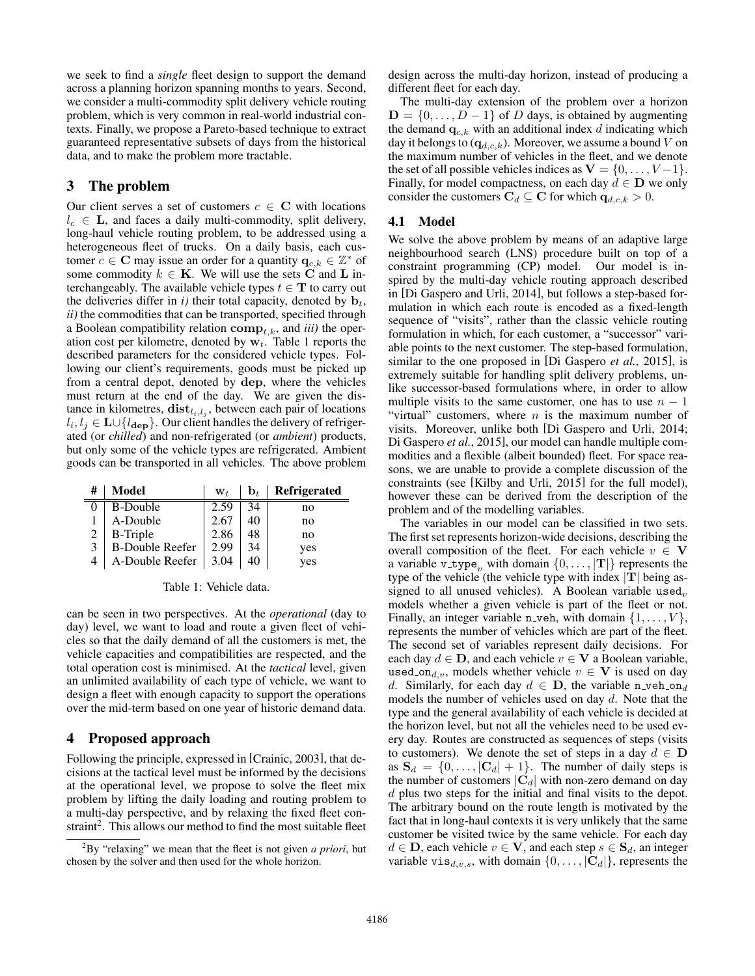we seek to find a *single* fleet design to support the demand across a planning horizon spanning months to years. Second, we consider a multi-commodity split delivery vehicle routing problem, which is very common in real-world industrial contexts. Finally, we propose a Pareto-based technique to extract guaranteed representative subsets of days from the historical data, and to make the problem more tractable.

### 3 The problem

Ė

Our client serves a set of customers  $c \in \mathbb{C}$  with locations  $l_c \in L$ , and faces a daily multi-commodity, split delivery, long-haul vehicle routing problem, to be addressed using a heterogeneous fleet of trucks. On a daily basis, each customer  $c \in \mathbf{C}$  may issue an order for a quantity  $\mathbf{q}_{c,k} \in \mathbb{Z}^*$  of some commodity  $k \in \mathbf{K}$ . We will use the sets C and L interchangeably. The available vehicle types  $t \in$ **T** to carry out the deliveries differ in *i*) their total capacity, denoted by  $\mathbf{b}_t$ , *ii)* the commodities that can be transported, specified through a Boolean compatibility relation  $\text{comp}_{t,k}$ , and *iii*) the operation cost per kilometre, denoted by w*t*. Table 1 reports the described parameters for the considered vehicle types. Following our client's requirements, goods must be picked up from a central depot, denoted by dep, where the vehicles must return at the end of the day. We are given the distance in kilometres,  $dist_{l_i,l_j}$ , between each pair of locations  $l_i, l_j \in \mathbf{L} \cup \{l_{\mathbf{dep}}\}$ . Our client handles the delivery of refrigerated (or *chilled*) and non-refrigerated (or *ambient*) products, but only some of the vehicle types are refrigerated. Ambient goods can be transported in all vehicles. The above problem

| # | Model                  | $W_t$ | $\mathbf{b}_{t}$ | <b>Refrigerated</b> |
|---|------------------------|-------|------------------|---------------------|
|   | <b>B-Double</b>        | 2.59  | 34               | no                  |
|   | A-Double               | 2.67  |                  | no                  |
|   | <b>B-Triple</b>        | 2.86  | 48               | no                  |
| 3 | <b>B-Double Reefer</b> | 2.99  | 34               | yes                 |
|   | A-Double Reefer        | 3.04  |                  | yes                 |

Table 1: Vehicle data.

can be seen in two perspectives. At the *operational* (day to day) level, we want to load and route a given fleet of vehicles so that the daily demand of all the customers is met, the vehicle capacities and compatibilities are respected, and the total operation cost is minimised. At the *tactical* level, given an unlimited availability of each type of vehicle, we want to design a fleet with enough capacity to support the operations over the mid-term based on one year of historic demand data.

# 4 Proposed approach

Following the principle, expressed in [Crainic, 2003], that decisions at the tactical level must be informed by the decisions at the operational level, we propose to solve the fleet mix problem by lifting the daily loading and routing problem to a multi-day perspective, and by relaxing the fixed fleet constraint<sup>2</sup>. This allows our method to find the most suitable fleet design across the multi-day horizon, instead of producing a different fleet for each day.

The multi-day extension of the problem over a horizon  $D = \{0, \ldots, D-1\}$  of *D* days, is obtained by augmenting the demand  $q_{c,k}$  with an additional index *d* indicating which day it belongs to  $(q_{d,c,k})$ . Moreover, we assume a bound *V* on the maximum number of vehicles in the fleet, and we denote the set of all possible vehicles indices as  $V = \{0, \ldots, V-1\}.$ Finally, for model compactness, on each day  $d \in D$  we only consider the customers  $C_d \subseteq C$  for which  $q_{d,c,k} > 0$ .

# 4.1 Model

We solve the above problem by means of an adaptive large neighbourhood search (LNS) procedure built on top of a constraint programming (CP) model. Our model is inspired by the multi-day vehicle routing approach described in [Di Gaspero and Urli, 2014], but follows a step-based formulation in which each route is encoded as a fixed-length sequence of "visits", rather than the classic vehicle routing formulation in which, for each customer, a "successor" variable points to the next customer. The step-based formulation, similar to the one proposed in [Di Gaspero *et al.*, 2015], is extremely suitable for handling split delivery problems, unlike successor-based formulations where, in order to allow multiple visits to the same customer, one has to use  $n - 1$ "virtual" customers, where *n* is the maximum number of visits. Moreover, unlike both [Di Gaspero and Urli, 2014; Di Gaspero *et al.*, 2015], our model can handle multiple commodities and a flexible (albeit bounded) fleet. For space reasons, we are unable to provide a complete discussion of the constraints (see [Kilby and Urli, 2015] for the full model), however these can be derived from the description of the problem and of the modelling variables.

The variables in our model can be classified in two sets. The first set represents horizon-wide decisions, describing the overall composition of the fleet. For each vehicle  $v \in V$ a variable v<sub>-type</sub><sub>*n*</sub> with domain  $\{0, \ldots, |\mathbf{T}|\}$  represents the type of the vehicle (the vehicle type with index *|*T*|* being assigned to all unused vehicles). A Boolean variable used<sub>*v*</sub> models whether a given vehicle is part of the fleet or not. Finally, an integer variable n veh, with domain  $\{1, \ldots, V\}$ , represents the number of vehicles which are part of the fleet. The second set of variables represent daily decisions. For each day  $d \in D$ , and each vehicle  $v \in V$  a Boolean variable, used on<sub>d,v</sub>, models whether vehicle  $v \in V$  is used on day *d*. Similarly, for each day  $d \in \mathbf{D}$ , the variable n veh on<sub>d</sub> models the number of vehicles used on day *d*. Note that the type and the general availability of each vehicle is decided at the horizon level, but not all the vehicles need to be used every day. Routes are constructed as sequences of steps (visits to customers). We denote the set of steps in a day  $d \in D$ as  $S_d = \{0, \ldots, |C_d| + 1\}$ . The number of daily steps is the number of customers  $|\mathbf{C}_d|$  with non-zero demand on day *d* plus two steps for the initial and final visits to the depot. The arbitrary bound on the route length is motivated by the fact that in long-haul contexts it is very unlikely that the same customer be visited twice by the same vehicle. For each day  $d \in$  **D**, each vehicle  $v \in$  **V**, and each step  $s \in$  **S**<sub>*d*</sub>, an integer variable vis<sub>*d,v,s*</sub>, with domain  $\{0, \ldots, |\mathbf{C}_d|\}$ , represents the

<sup>2</sup> By "relaxing" we mean that the fleet is not given *a priori*, but chosen by the solver and then used for the whole horizon.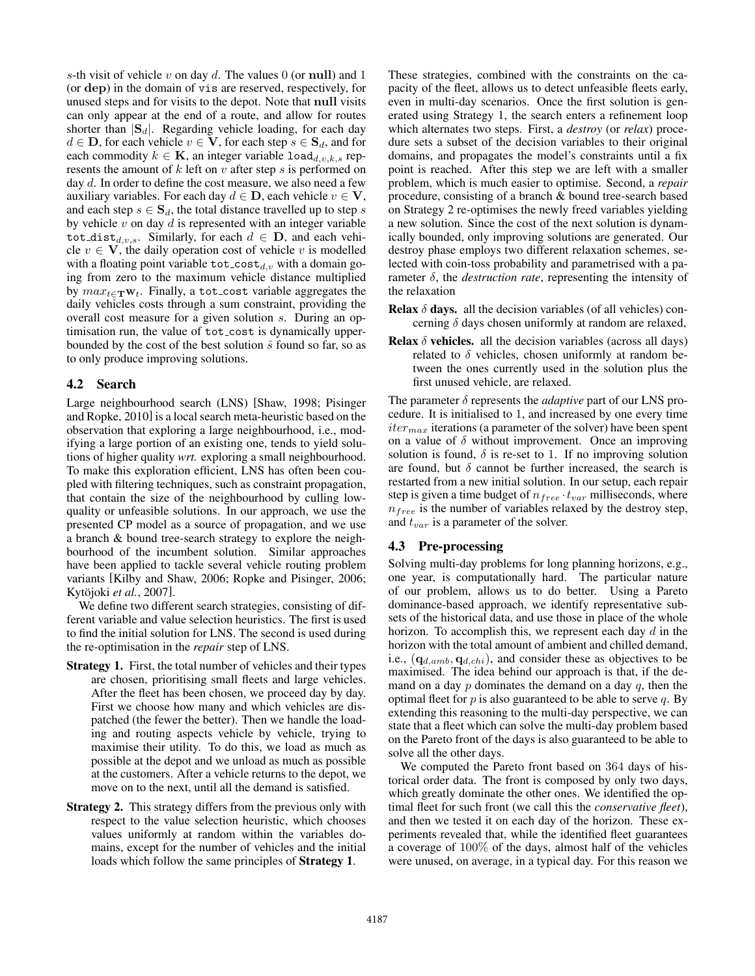*s*-th visit of vehicle *v* on day *d*. The values 0 (or null) and 1 (or dep) in the domain of vis are reserved, respectively, for unused steps and for visits to the depot. Note that null visits can only appear at the end of a route, and allow for routes shorter than *|*S*d|*. Regarding vehicle loading, for each day  $d \in \mathbf{D}$ , for each vehicle  $v \in \mathbf{V}$ , for each step  $s \in \mathbf{S}_d$ , and for each commodity  $k \in \mathbf{K}$ , an integer variable  $\text{load}_{d,v,k,s}$  represents the amount of *k* left on *v* after step *s* is performed on day *d*. In order to define the cost measure, we also need a few auxiliary variables. For each day  $d \in \mathbf{D}$ , each vehicle  $v \in \mathbf{V}$ , and each step  $s \in S_d$ , the total distance travelled up to step *s* by vehicle *v* on day *d* is represented with an integer variable tot<sub>-dist<sub>d,v,s</sub>. Similarly, for each  $d \in$  **D**, and each vehi-</sub> cle  $v \in V$ , the daily operation cost of vehicle v is modelled with a floating point variable  $\text{tot\_cost}_{d,v}$  with a domain going from zero to the maximum vehicle distance multiplied by  $max_{t \in \mathbf{T}} \mathbf{w}_t$ . Finally, a tot cost variable aggregates the daily vehicles costs through a sum constraint, providing the overall cost measure for a given solution *s*. During an optimisation run, the value of tot cost is dynamically upperbounded by the cost of the best solution  $\hat{s}$  found so far, so as to only produce improving solutions.

#### 4.2 Search

Large neighbourhood search (LNS) [Shaw, 1998; Pisinger and Ropke, 2010] is a local search meta-heuristic based on the observation that exploring a large neighbourhood, i.e., modifying a large portion of an existing one, tends to yield solutions of higher quality *wrt.* exploring a small neighbourhood. To make this exploration efficient, LNS has often been coupled with filtering techniques, such as constraint propagation, that contain the size of the neighbourhood by culling lowquality or unfeasible solutions. In our approach, we use the presented CP model as a source of propagation, and we use a branch & bound tree-search strategy to explore the neighbourhood of the incumbent solution. Similar approaches have been applied to tackle several vehicle routing problem variants [Kilby and Shaw, 2006; Ropke and Pisinger, 2006; Kytöjoki *et al.*, 2007].

We define two different search strategies, consisting of different variable and value selection heuristics. The first is used to find the initial solution for LNS. The second is used during the re-optimisation in the *repair* step of LNS.

- Strategy 1. First, the total number of vehicles and their types are chosen, prioritising small fleets and large vehicles. After the fleet has been chosen, we proceed day by day. First we choose how many and which vehicles are dispatched (the fewer the better). Then we handle the loading and routing aspects vehicle by vehicle, trying to maximise their utility. To do this, we load as much as possible at the depot and we unload as much as possible at the customers. After a vehicle returns to the depot, we move on to the next, until all the demand is satisfied.
- Strategy 2. This strategy differs from the previous only with respect to the value selection heuristic, which chooses values uniformly at random within the variables domains, except for the number of vehicles and the initial loads which follow the same principles of Strategy 1.

These strategies, combined with the constraints on the capacity of the fleet, allows us to detect unfeasible fleets early, even in multi-day scenarios. Once the first solution is generated using Strategy 1, the search enters a refinement loop which alternates two steps. First, a *destroy* (or *relax*) procedure sets a subset of the decision variables to their original domains, and propagates the model's constraints until a fix point is reached. After this step we are left with a smaller problem, which is much easier to optimise. Second, a *repair* procedure, consisting of a branch & bound tree-search based on Strategy 2 re-optimises the newly freed variables yielding a new solution. Since the cost of the next solution is dynamically bounded, only improving solutions are generated. Our destroy phase employs two different relaxation schemes, selected with coin-toss probability and parametrised with a parameter  $\delta$ , the *destruction rate*, representing the intensity of the relaxation

- **Relax**  $\delta$  **days.** all the decision variables (of all vehicles) concerning  $\delta$  days chosen uniformly at random are relaxed,
- **Relax**  $\delta$  **vehicles.** all the decision variables (across all days) related to  $\delta$  vehicles, chosen uniformly at random between the ones currently used in the solution plus the first unused vehicle, are relaxed.

The parameter  $\delta$  represents the *adaptive* part of our LNS procedure. It is initialised to 1, and increased by one every time *itermax* iterations (a parameter of the solver) have been spent on a value of  $\delta$  without improvement. Once an improving solution is found,  $\delta$  is re-set to 1. If no improving solution are found, but  $\delta$  cannot be further increased, the search is restarted from a new initial solution. In our setup, each repair step is given a time budget of  $n_{free} \cdot t_{var}$  milliseconds, where  $n_{free}$  is the number of variables relaxed by the destroy step, and *tvar* is a parameter of the solver.

### 4.3 Pre-processing

Solving multi-day problems for long planning horizons, e.g., one year, is computationally hard. The particular nature of our problem, allows us to do better. Using a Pareto dominance-based approach, we identify representative subsets of the historical data, and use those in place of the whole horizon. To accomplish this, we represent each day *d* in the horizon with the total amount of ambient and chilled demand, i.e.,  $(q_{d,amb}, q_{d,chi})$ , and consider these as objectives to be maximised. The idea behind our approach is that, if the demand on a day *p* dominates the demand on a day *q*, then the optimal fleet for *p* is also guaranteed to be able to serve *q*. By extending this reasoning to the multi-day perspective, we can state that a fleet which can solve the multi-day problem based on the Pareto front of the days is also guaranteed to be able to solve all the other days.

We computed the Pareto front based on 364 days of historical order data. The front is composed by only two days, which greatly dominate the other ones. We identified the optimal fleet for such front (we call this the *conservative fleet*), and then we tested it on each day of the horizon. These experiments revealed that, while the identified fleet guarantees a coverage of 100% of the days, almost half of the vehicles were unused, on average, in a typical day. For this reason we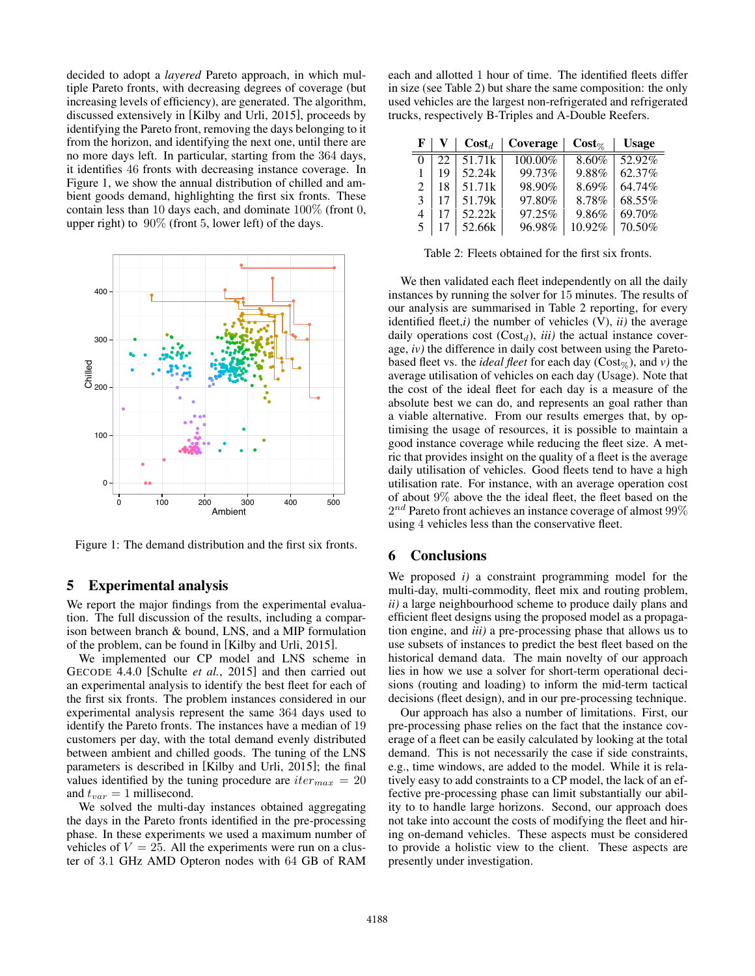decided to adopt a *layered* Pareto approach, in which multiple Pareto fronts, with decreasing degrees of coverage (but increasing levels of efficiency), are generated. The algorithm, discussed extensively in [Kilby and Urli, 2015], proceeds by identifying the Pareto front, removing the days belonging to it from the horizon, and identifying the next one, until there are no more days left. In particular, starting from the 364 days, it identifies 46 fronts with decreasing instance coverage. In Figure 1, we show the annual distribution of chilled and ambient goods demand, highlighting the first six fronts. These contain less than 10 days each, and dominate 100% (front 0, upper right) to 90% (front 5, lower left) of the days.



Figure 1: The demand distribution and the first six fronts.

#### 5 Experimental analysis

We report the major findings from the experimental evaluation. The full discussion of the results, including a comparison between branch & bound, LNS, and a MIP formulation of the problem, can be found in [Kilby and Urli, 2015].

We implemented our CP model and LNS scheme in GECODE 4.4.0 [Schulte *et al.*, 2015] and then carried out an experimental analysis to identify the best fleet for each of the first six fronts. The problem instances considered in our experimental analysis represent the same 364 days used to identify the Pareto fronts. The instances have a median of 19 customers per day, with the total demand evenly distributed between ambient and chilled goods. The tuning of the LNS parameters is described in [Kilby and Urli, 2015]; the final values identified by the tuning procedure are  $iter_{max} = 20$ and  $t_{var} = 1$  millisecond.

We solved the multi-day instances obtained aggregating the days in the Pareto fronts identified in the pre-processing phase. In these experiments we used a maximum number of vehicles of  $V = 25$ . All the experiments were run on a cluster of 3*.*1 GHz AMD Opteron nodes with 64 GB of RAM each and allotted 1 hour of time. The identified fleets differ in size (see Table 2) but share the same composition: the only used vehicles are the largest non-refrigerated and refrigerated trucks, respectively B-Triples and A-Double Reefers.

| $\mathbf{F}$                |    | $\textbf{Cost}_{d}$ | Coverage | $Cost_{\%}$ | <b>Usage</b> |
|-----------------------------|----|---------------------|----------|-------------|--------------|
|                             | 22 | 51.71k              | 100.00%  | 8.60%       | 52.92%       |
|                             | 19 | 52.24k              | 99.73%   | 9.88%       | 62.37%       |
| $\mathcal{D}_{\mathcal{L}}$ | 18 | 51.71k              | 98.90%   | 8.69%       | 64.74%       |
| 3                           | 17 | 51.79k              | 97.80%   | 8.78%       | 68.55%       |
| 4                           | 17 | 52.22k              | 97.25%   | 9.86%       | 69.70%       |
| 5                           |    | 52.66k              | 96.98%   | 10.92%      | 70.50%       |

Table 2: Fleets obtained for the first six fronts.

We then validated each fleet independently on all the daily instances by running the solver for 15 minutes. The results of our analysis are summarised in Table 2 reporting, for every identified fleet,*i)* the number of vehicles (V), *ii)* the average daily operations cost  $(Cost_d)$ , *iii*) the actual instance coverage, *iv)* the difference in daily cost between using the Paretobased fleet vs. the *ideal fleet* for each day ( $Cost_{\%}$ ), and *v*) the average utilisation of vehicles on each day (Usage). Note that the cost of the ideal fleet for each day is a measure of the absolute best we can do, and represents an goal rather than a viable alternative. From our results emerges that, by optimising the usage of resources, it is possible to maintain a good instance coverage while reducing the fleet size. A metric that provides insight on the quality of a fleet is the average daily utilisation of vehicles. Good fleets tend to have a high utilisation rate. For instance, with an average operation cost of about 9% above the the ideal fleet, the fleet based on the 2*nd* Pareto front achieves an instance coverage of almost 99% using 4 vehicles less than the conservative fleet.

### 6 Conclusions

We proposed *i)* a constraint programming model for the multi-day, multi-commodity, fleet mix and routing problem, *ii)* a large neighbourhood scheme to produce daily plans and efficient fleet designs using the proposed model as a propagation engine, and *iii)* a pre-processing phase that allows us to use subsets of instances to predict the best fleet based on the historical demand data. The main novelty of our approach lies in how we use a solver for short-term operational decisions (routing and loading) to inform the mid-term tactical decisions (fleet design), and in our pre-processing technique.

Our approach has also a number of limitations. First, our pre-processing phase relies on the fact that the instance coverage of a fleet can be easily calculated by looking at the total demand. This is not necessarily the case if side constraints, e.g., time windows, are added to the model. While it is relatively easy to add constraints to a CP model, the lack of an effective pre-processing phase can limit substantially our ability to to handle large horizons. Second, our approach does not take into account the costs of modifying the fleet and hiring on-demand vehicles. These aspects must be considered to provide a holistic view to the client. These aspects are presently under investigation.